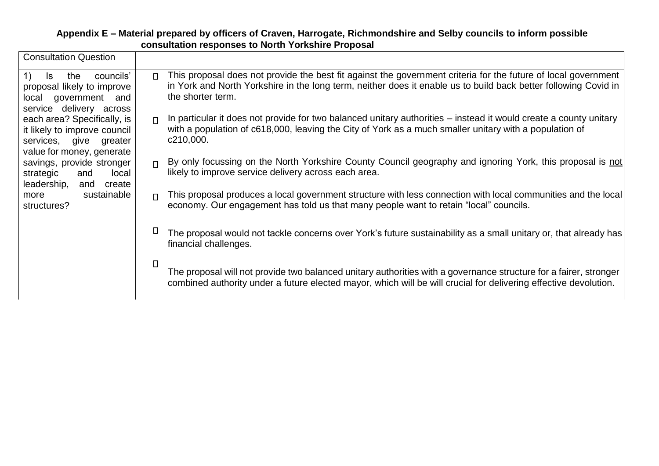## **Appendix E – Material prepared by officers of Craven, Harrogate, Richmondshire and Selby councils to inform possible consultation responses to North Yorkshire Proposal**

| <b>Consultation Question</b>                                                                                                                                  |                                                                                                                                                                                                                                                                  |
|---------------------------------------------------------------------------------------------------------------------------------------------------------------|------------------------------------------------------------------------------------------------------------------------------------------------------------------------------------------------------------------------------------------------------------------|
| councils'<br>$\left( \begin{matrix} 1 \end{matrix} \right)$<br>ls.<br>the<br>proposal likely to improve<br>government and<br>local<br>service delivery across | This proposal does not provide the best fit against the government criteria for the future of local government<br>$\Box$<br>in York and North Yorkshire in the long term, neither does it enable us to build back better following Covid in<br>the shorter term. |
| each area? Specifically, is<br>it likely to improve council<br>services, give greater<br>value for money, generate                                            | In particular it does not provide for two balanced unitary authorities – instead it would create a county unitary<br>$\Box$<br>with a population of c618,000, leaving the City of York as a much smaller unitary with a population of<br>c210,000.               |
| savings, provide stronger<br>strategic<br>local<br>and<br>leadership,<br>create<br>and                                                                        | By only focussing on the North Yorkshire County Council geography and ignoring York, this proposal is not<br>$\Box$<br>likely to improve service delivery across each area.                                                                                      |
| sustainable<br>more<br>structures?                                                                                                                            | This proposal produces a local government structure with less connection with local communities and the local<br>$\Box$<br>economy. Our engagement has told us that many people want to retain "local" councils.                                                 |
|                                                                                                                                                               | The proposal would not tackle concerns over York's future sustainability as a small unitary or, that already has<br>financial challenges.                                                                                                                        |
|                                                                                                                                                               | Л<br>The proposal will not provide two balanced unitary authorities with a governance structure for a fairer, stronger<br>combined authority under a future elected mayor, which will be will crucial for delivering effective devolution.                       |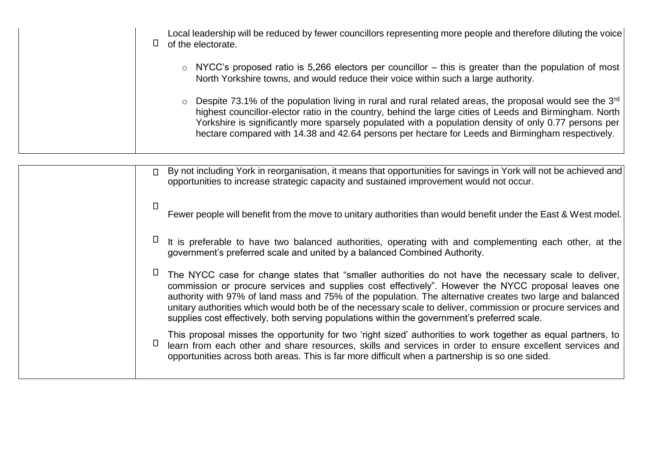| Local leadership will be reduced by fewer councillors representing more people and therefore diluting the voice<br>of the electorate.                                                                                                                                                                                                                                                                                           |
|---------------------------------------------------------------------------------------------------------------------------------------------------------------------------------------------------------------------------------------------------------------------------------------------------------------------------------------------------------------------------------------------------------------------------------|
| $\circ$ NYCC's proposed ratio is 5,266 electors per councillor – this is greater than the population of most<br>North Yorkshire towns, and would reduce their voice within such a large authority.                                                                                                                                                                                                                              |
| Despite 73.1% of the population living in rural and rural related areas, the proposal would see the 3rd<br>highest councillor-elector ratio in the country, behind the large cities of Leeds and Birmingham. North<br>Yorkshire is significantly more sparsely populated with a population density of only 0.77 persons per<br>hectare compared with 14.38 and 42.64 persons per hectare for Leeds and Birmingham respectively. |

| $\Box$ | By not including York in reorganisation, it means that opportunities for savings in York will not be achieved and<br>opportunities to increase strategic capacity and sustained improvement would not occur.                                                                                                                                                                                                                                                                                                                               |
|--------|--------------------------------------------------------------------------------------------------------------------------------------------------------------------------------------------------------------------------------------------------------------------------------------------------------------------------------------------------------------------------------------------------------------------------------------------------------------------------------------------------------------------------------------------|
| $\Box$ | Fewer people will benefit from the move to unitary authorities than would benefit under the East & West model.                                                                                                                                                                                                                                                                                                                                                                                                                             |
| П      | It is preferable to have two balanced authorities, operating with and complementing each other, at the<br>government's preferred scale and united by a balanced Combined Authority.                                                                                                                                                                                                                                                                                                                                                        |
| $\Box$ | The NYCC case for change states that "smaller authorities do not have the necessary scale to deliver,<br>commission or procure services and supplies cost effectively". However the NYCC proposal leaves one<br>authority with 97% of land mass and 75% of the population. The alternative creates two large and balanced<br>unitary authorities which would both be of the necessary scale to deliver, commission or procure services and<br>supplies cost effectively, both serving populations within the government's preferred scale. |
| ◧      | This proposal misses the opportunity for two 'right sized' authorities to work together as equal partners, to<br>learn from each other and share resources, skills and services in order to ensure excellent services and<br>opportunities across both areas. This is far more difficult when a partnership is so one sided.                                                                                                                                                                                                               |
|        |                                                                                                                                                                                                                                                                                                                                                                                                                                                                                                                                            |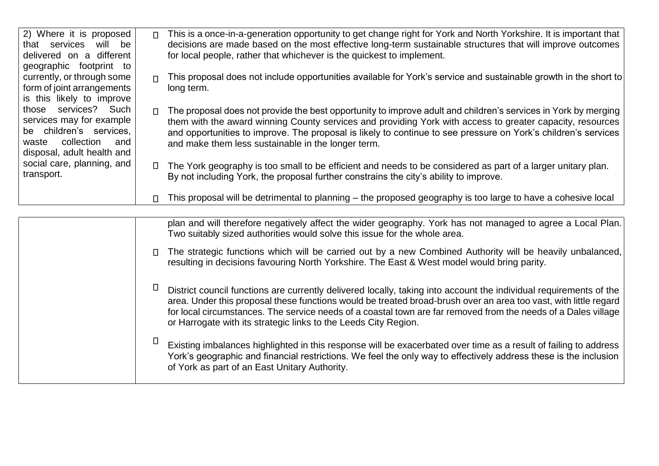| 2) Where it is proposed                                                                                                              | This is a once-in-a-generation opportunity to get change right for York and North Yorkshire. It is important that                                                                                                                                                                                                                                                                                             |
|--------------------------------------------------------------------------------------------------------------------------------------|---------------------------------------------------------------------------------------------------------------------------------------------------------------------------------------------------------------------------------------------------------------------------------------------------------------------------------------------------------------------------------------------------------------|
| that services will be                                                                                                                | $\Box$                                                                                                                                                                                                                                                                                                                                                                                                        |
| delivered on a different                                                                                                             | decisions are made based on the most effective long-term sustainable structures that will improve outcomes                                                                                                                                                                                                                                                                                                    |
| geographic footprint to                                                                                                              | for local people, rather that whichever is the quickest to implement.                                                                                                                                                                                                                                                                                                                                         |
| currently, or through some                                                                                                           | This proposal does not include opportunities available for York's service and sustainable growth in the short to                                                                                                                                                                                                                                                                                              |
| form of joint arrangements                                                                                                           | $\Box$                                                                                                                                                                                                                                                                                                                                                                                                        |
| is this likely to improve                                                                                                            | long term.                                                                                                                                                                                                                                                                                                                                                                                                    |
| those services? Such<br>services may for example<br>be children's services.<br>waste collection<br>and<br>disposal, adult health and | The proposal does not provide the best opportunity to improve adult and children's services in York by merging<br>$\Box$<br>them with the award winning County services and providing York with access to greater capacity, resources<br>and opportunities to improve. The proposal is likely to continue to see pressure on York's children's services<br>and make them less sustainable in the longer term. |
| social care, planning, and                                                                                                           | □ The York geography is too small to be efficient and needs to be considered as part of a larger unitary plan.                                                                                                                                                                                                                                                                                                |
| transport.                                                                                                                           | By not including York, the proposal further constrains the city's ability to improve.                                                                                                                                                                                                                                                                                                                         |
|                                                                                                                                      | This proposal will be detrimental to planning – the proposed geography is too large to have a cohesive local<br>$\Box$                                                                                                                                                                                                                                                                                        |

| plan and will therefore negatively affect the wider geography. York has not managed to agree a Local Plan.<br>Two suitably sized authorities would solve this issue for the whole area.                                                                                                                                                                                                                                     |
|-----------------------------------------------------------------------------------------------------------------------------------------------------------------------------------------------------------------------------------------------------------------------------------------------------------------------------------------------------------------------------------------------------------------------------|
| The strategic functions which will be carried out by a new Combined Authority will be heavily unbalanced,<br>resulting in decisions favouring North Yorkshire. The East & West model would bring parity.                                                                                                                                                                                                                    |
| District council functions are currently delivered locally, taking into account the individual requirements of the<br>area. Under this proposal these functions would be treated broad-brush over an area too vast, with little regard<br>for local circumstances. The service needs of a coastal town are far removed from the needs of a Dales village<br>or Harrogate with its strategic links to the Leeds City Region. |
| Existing imbalances highlighted in this response will be exacerbated over time as a result of failing to address<br>York's geographic and financial restrictions. We feel the only way to effectively address these is the inclusion<br>of York as part of an East Unitary Authority.                                                                                                                                       |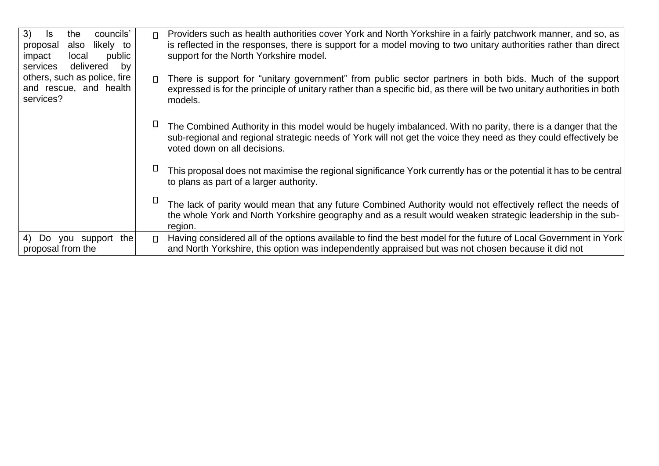| 3)<br>the<br>councils'<br>ls.<br>likely to<br>also<br>proposal<br>public<br>impact<br>local<br>delivered<br>services<br>by | Providers such as health authorities cover York and North Yorkshire in a fairly patchwork manner, and so, as<br>$\Box$<br>is reflected in the responses, there is support for a model moving to two unitary authorities rather than direct<br>support for the North Yorkshire model. |
|----------------------------------------------------------------------------------------------------------------------------|--------------------------------------------------------------------------------------------------------------------------------------------------------------------------------------------------------------------------------------------------------------------------------------|
| others, such as police, fire<br>and rescue, and health<br>services?                                                        | There is support for "unitary government" from public sector partners in both bids. Much of the support<br>$\Box$<br>expressed is for the principle of unitary rather than a specific bid, as there will be two unitary authorities in both<br>models.                               |
|                                                                                                                            | The Combined Authority in this model would be hugely imbalanced. With no parity, there is a danger that the<br>sub-regional and regional strategic needs of York will not get the voice they need as they could effectively be<br>voted down on all decisions.                       |
|                                                                                                                            | This proposal does not maximise the regional significance York currently has or the potential it has to be central<br>to plans as part of a larger authority.                                                                                                                        |
|                                                                                                                            | The lack of parity would mean that any future Combined Authority would not effectively reflect the needs of<br>the whole York and North Yorkshire geography and as a result would weaken strategic leadership in the sub-<br>region.                                                 |
| 4) Do you support the<br>proposal from the                                                                                 | Having considered all of the options available to find the best model for the future of Local Government in York<br>$\Box$<br>and North Yorkshire, this option was independently appraised but was not chosen because it did not                                                     |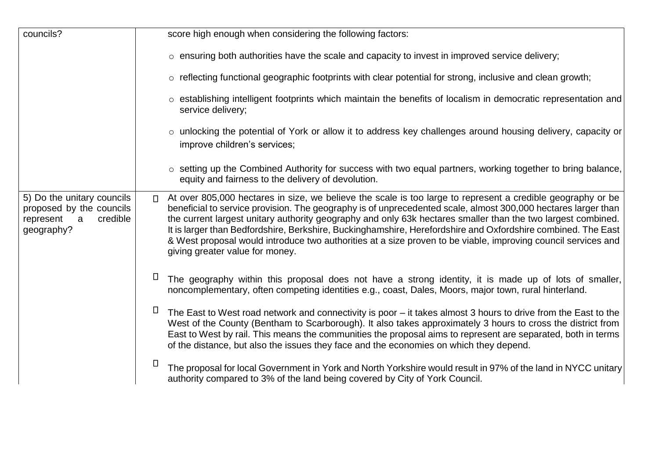| councils?                                                                                          | score high enough when considering the following factors:                                                                                                                                                                                                                                                                                                                                                                                                                                                                                                                                                                  |
|----------------------------------------------------------------------------------------------------|----------------------------------------------------------------------------------------------------------------------------------------------------------------------------------------------------------------------------------------------------------------------------------------------------------------------------------------------------------------------------------------------------------------------------------------------------------------------------------------------------------------------------------------------------------------------------------------------------------------------------|
|                                                                                                    | $\circ$ ensuring both authorities have the scale and capacity to invest in improved service delivery;                                                                                                                                                                                                                                                                                                                                                                                                                                                                                                                      |
|                                                                                                    | o reflecting functional geographic footprints with clear potential for strong, inclusive and clean growth;                                                                                                                                                                                                                                                                                                                                                                                                                                                                                                                 |
|                                                                                                    | o establishing intelligent footprints which maintain the benefits of localism in democratic representation and<br>service delivery;                                                                                                                                                                                                                                                                                                                                                                                                                                                                                        |
|                                                                                                    | o unlocking the potential of York or allow it to address key challenges around housing delivery, capacity or<br>improve children's services;                                                                                                                                                                                                                                                                                                                                                                                                                                                                               |
|                                                                                                    | o setting up the Combined Authority for success with two equal partners, working together to bring balance,<br>equity and fairness to the delivery of devolution.                                                                                                                                                                                                                                                                                                                                                                                                                                                          |
| 5) Do the unitary councils<br>proposed by the councils<br>credible<br>represent<br>a<br>geography? | At over 805,000 hectares in size, we believe the scale is too large to represent a credible geography or be<br>$\Box$<br>beneficial to service provision. The geography is of unprecedented scale, almost 300,000 hectares larger than<br>the current largest unitary authority geography and only 63k hectares smaller than the two largest combined.<br>It is larger than Bedfordshire, Berkshire, Buckinghamshire, Herefordshire and Oxfordshire combined. The East<br>& West proposal would introduce two authorities at a size proven to be viable, improving council services and<br>giving greater value for money. |
|                                                                                                    | $\Box$<br>The geography within this proposal does not have a strong identity, it is made up of lots of smaller,<br>noncomplementary, often competing identities e.g., coast, Dales, Moors, major town, rural hinterland.                                                                                                                                                                                                                                                                                                                                                                                                   |
|                                                                                                    | $\Box$<br>The East to West road network and connectivity is poor - it takes almost 3 hours to drive from the East to the<br>West of the County (Bentham to Scarborough). It also takes approximately 3 hours to cross the district from<br>East to West by rail. This means the communities the proposal aims to represent are separated, both in terms<br>of the distance, but also the issues they face and the economies on which they depend.                                                                                                                                                                          |
|                                                                                                    | $\Box$<br>The proposal for local Government in York and North Yorkshire would result in 97% of the land in NYCC unitary<br>authority compared to 3% of the land being covered by City of York Council.                                                                                                                                                                                                                                                                                                                                                                                                                     |